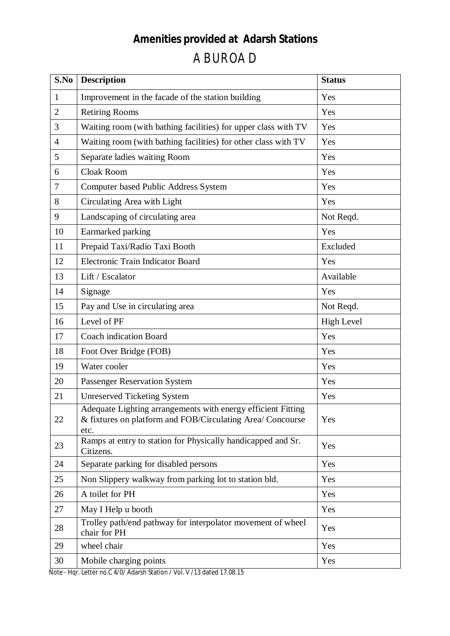## **Amenities provided at Adarsh Stations**  ABUROAD

| S.No           | <b>Description</b>                                                                                                                 | <b>Status</b>     |
|----------------|------------------------------------------------------------------------------------------------------------------------------------|-------------------|
| 1              | Improvement in the facade of the station building                                                                                  | Yes               |
| $\overline{2}$ | <b>Retiring Rooms</b>                                                                                                              | Yes               |
| 3              | Waiting room (with bathing facilities) for upper class with TV                                                                     | Yes               |
| $\overline{4}$ | Waiting room (with bathing facilities) for other class with TV                                                                     | Yes               |
| 5              | Separate ladies waiting Room                                                                                                       | Yes               |
| 6              | <b>Cloak Room</b>                                                                                                                  | Yes               |
| 7              | <b>Computer based Public Address System</b>                                                                                        | Yes               |
| 8              | Circulating Area with Light                                                                                                        | Yes               |
| 9              | Landscaping of circulating area                                                                                                    | Not Reqd.         |
| 10             | Earmarked parking                                                                                                                  | Yes               |
| 11             | Prepaid Taxi/Radio Taxi Booth                                                                                                      | Excluded          |
| 12             | Electronic Train Indicator Board                                                                                                   | Yes               |
| 13             | Lift / Escalator                                                                                                                   | Available         |
| 14             | Signage                                                                                                                            | Yes               |
| 15             | Pay and Use in circulating area                                                                                                    | Not Reqd.         |
| 16             | Level of PF                                                                                                                        | <b>High Level</b> |
| 17             | <b>Coach indication Board</b>                                                                                                      | Yes               |
| 18             | Foot Over Bridge (FOB)                                                                                                             | Yes               |
| 19             | Water cooler                                                                                                                       | Yes               |
| 20             | Passenger Reservation System                                                                                                       | Yes               |
| 21             | <b>Unreserved Ticketing System</b>                                                                                                 | Yes               |
| 22             | Adequate Lighting arrangements with energy efficient Fitting<br>& fixtures on platform and FOB/Circulating Area/ Concourse<br>etc. | Yes               |
| 23             | Ramps at entry to station for Physically handicapped and Sr.<br>Citizens.                                                          | Yes               |
| 24             | Separate parking for disabled persons                                                                                              | Yes               |
| 25             | Non Slippery walkway from parking lot to station bld.                                                                              | Yes               |
| 26             | A toilet for PH                                                                                                                    | Yes               |
| 27             | May I Help u booth                                                                                                                 | Yes               |
| 28             | Trolley path/end pathway for interpolator movement of wheel<br>chair for PH                                                        | Yes               |
| 29             | wheel chair                                                                                                                        | Yes               |
| 30             | Mobile charging points                                                                                                             | Yes               |

Note - Hqr. Letter no.C 4/0/ Adarsh Station / Vol. V /13 dated 17.08.15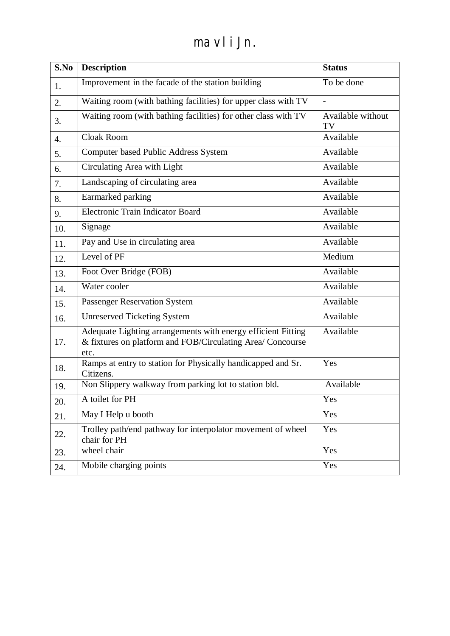## mavli Jn.

| S.No | <b>Description</b>                                                                                                                 | <b>Status</b>           |
|------|------------------------------------------------------------------------------------------------------------------------------------|-------------------------|
| 1.   | Improvement in the facade of the station building                                                                                  | To be done              |
| 2.   | Waiting room (with bathing facilities) for upper class with TV                                                                     |                         |
| 3.   | Waiting room (with bathing facilities) for other class with TV                                                                     | Available without<br>TV |
| 4.   | <b>Cloak Room</b>                                                                                                                  | Available               |
| 5.   | <b>Computer based Public Address System</b>                                                                                        | Available               |
| 6.   | Circulating Area with Light                                                                                                        | Available               |
| 7.   | Landscaping of circulating area                                                                                                    | Available               |
| 8.   | Earmarked parking                                                                                                                  | Available               |
| 9.   | Electronic Train Indicator Board                                                                                                   | Available               |
| 10.  | Signage                                                                                                                            | Available               |
| 11.  | Pay and Use in circulating area                                                                                                    | Available               |
| 12.  | Level of PF                                                                                                                        | Medium                  |
| 13.  | Foot Over Bridge (FOB)                                                                                                             | Available               |
| 14.  | Water cooler                                                                                                                       | Available               |
| 15.  | Passenger Reservation System                                                                                                       | Available               |
| 16.  | <b>Unreserved Ticketing System</b>                                                                                                 | Available               |
| 17.  | Adequate Lighting arrangements with energy efficient Fitting<br>& fixtures on platform and FOB/Circulating Area/ Concourse<br>etc. | Available               |
| 18.  | Ramps at entry to station for Physically handicapped and Sr.<br>Citizens.                                                          | Yes                     |
| 19.  | Non Slippery walkway from parking lot to station bld.                                                                              | Available               |
| 20.  | A toilet for PH                                                                                                                    | Yes                     |
| 21.  | May I Help u booth                                                                                                                 | Yes                     |
| 22.  | Trolley path/end pathway for interpolator movement of wheel<br>chair for PH                                                        | Yes                     |
| 23.  | wheel chair                                                                                                                        | Yes                     |
| 24.  | Mobile charging points                                                                                                             | Yes                     |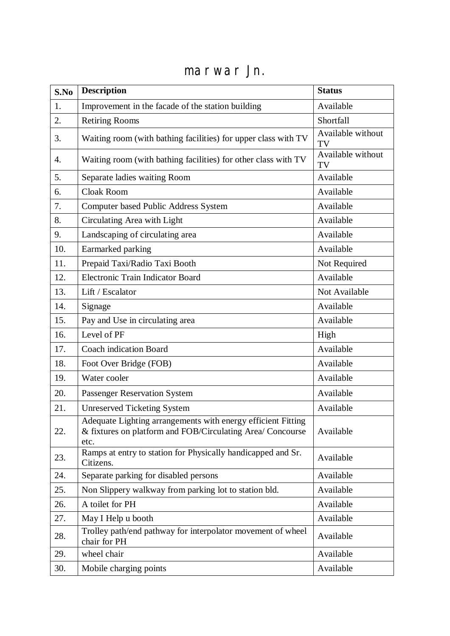## marwar Jn.

| S.No | <b>Description</b>                                                                                                                 | <b>Status</b>           |
|------|------------------------------------------------------------------------------------------------------------------------------------|-------------------------|
| 1.   | Improvement in the facade of the station building                                                                                  | Available               |
| 2.   | <b>Retiring Rooms</b>                                                                                                              | Shortfall               |
| 3.   | Waiting room (with bathing facilities) for upper class with TV                                                                     | Available without<br>TV |
| 4.   | Waiting room (with bathing facilities) for other class with TV                                                                     | Available without<br>TV |
| 5.   | Separate ladies waiting Room                                                                                                       | Available               |
| 6.   | Cloak Room                                                                                                                         | Available               |
| 7.   | <b>Computer based Public Address System</b>                                                                                        | Available               |
| 8.   | Circulating Area with Light                                                                                                        | Available               |
| 9.   | Landscaping of circulating area                                                                                                    | Available               |
| 10.  | Earmarked parking                                                                                                                  | Available               |
| 11.  | Prepaid Taxi/Radio Taxi Booth                                                                                                      | Not Required            |
| 12.  | Electronic Train Indicator Board                                                                                                   | Available               |
| 13.  | Lift / Escalator                                                                                                                   | Not Available           |
| 14.  | Signage                                                                                                                            | Available               |
| 15.  | Pay and Use in circulating area                                                                                                    | Available               |
| 16.  | Level of PF                                                                                                                        | High                    |
| 17.  | <b>Coach indication Board</b>                                                                                                      | Available               |
| 18.  | Foot Over Bridge (FOB)                                                                                                             | Available               |
| 19.  | Water cooler                                                                                                                       | Available               |
| 20.  | <b>Passenger Reservation System</b>                                                                                                | Available               |
| 21.  | <b>Unreserved Ticketing System</b>                                                                                                 | Available               |
| 22.  | Adequate Lighting arrangements with energy efficient Fitting<br>& fixtures on platform and FOB/Circulating Area/ Concourse<br>etc. | Available               |
| 23.  | Ramps at entry to station for Physically handicapped and Sr.<br>Citizens.                                                          | Available               |
| 24.  | Separate parking for disabled persons                                                                                              | Available               |
| 25.  | Non Slippery walkway from parking lot to station bld.                                                                              | Available               |
| 26.  | A toilet for PH                                                                                                                    | Available               |
| 27.  | May I Help u booth                                                                                                                 | Available               |
| 28.  | Trolley path/end pathway for interpolator movement of wheel<br>chair for PH                                                        | Available               |
| 29.  | wheel chair                                                                                                                        | Available               |
| 30.  | Mobile charging points                                                                                                             | Available               |